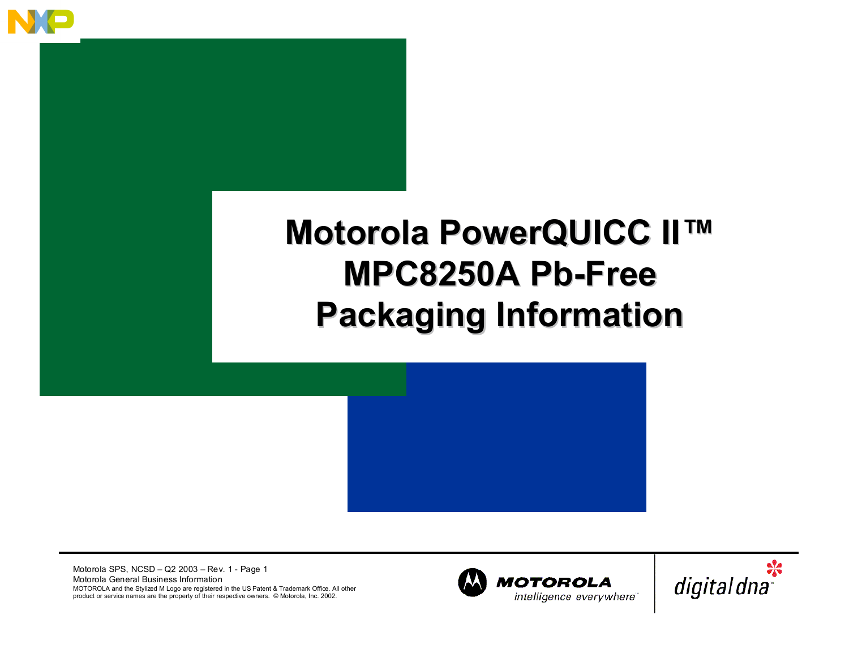

#### **Motorola PowerQUICC II Motorola PowerQUICC II™ MPC8250A MPC8250A Pb-Free Pb-FreePackaging Information Packaging Information**

Motorola SPS, NCSD – Q2 2003 – Rev. 1 - Page 1 Motorola General Business Information MOTOROLA and the Stylized M Logo are registered in the US Patent & Trademark Office. All other product or service names are the property of their respective owners. © Motorola, Inc. 2002.



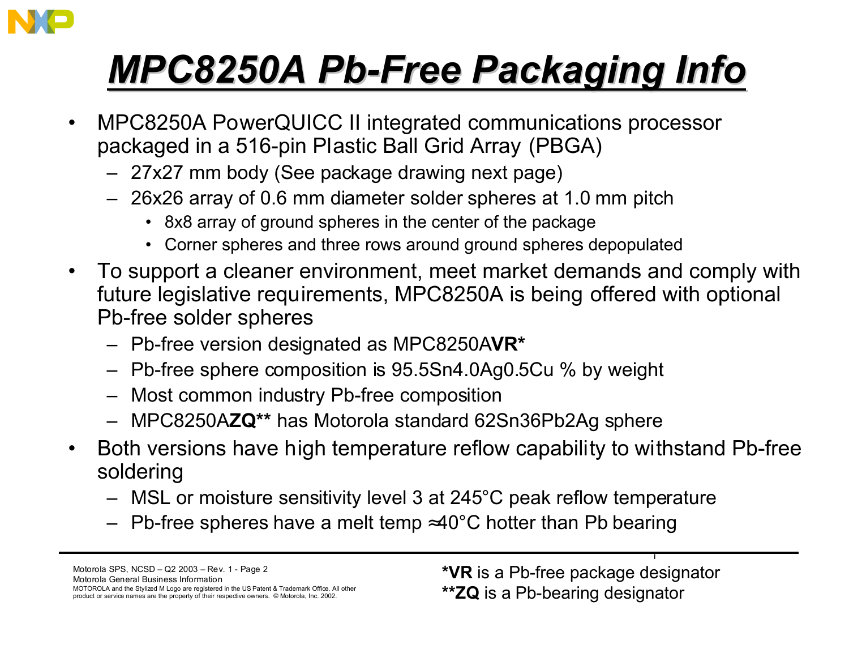

- $\bullet$  MPC8250A PowerQUICC II integrated communications processor packaged in a 516-pin Plastic Ball Grid Array (PBGA)
	- 27x27 mm body (See package drawing next page)
	- 26x26 array of 0.6 mm diameter solder spheres at 1.0 mm pitch
		- 8x8 array of ground spheres in the center of the package
		- Corner spheres and three rows around ground spheres depopulated
- $\bullet$  To support a cleaner environment, meet market demands and comply with future legislative requirements, MPC8250A is being offered with optional Pb-free solder spheres
	- Pb-free version designated as MPC8250A**VR\***
	- Pb-free sphere composition is 95.5Sn4.0Ag0.5Cu % by weight
	- Most common industry Pb-free composition
	- MPC8250A**ZQ\*\*** has Motorola standard 62Sn36Pb2Ag sphere
- $\bullet$  Both versions have high temperature reflow capability to withstand Pb-free soldering
	- MSL or moisture sensitivity level 3 at 245°C peak reflow temperature
	- $-$  Pb-free spheres have a melt temp ≈40°C hotter than Pb bearing

**\*VR** is a Pb-free package designator **\*\*ZQ** is a Pb-bearing designator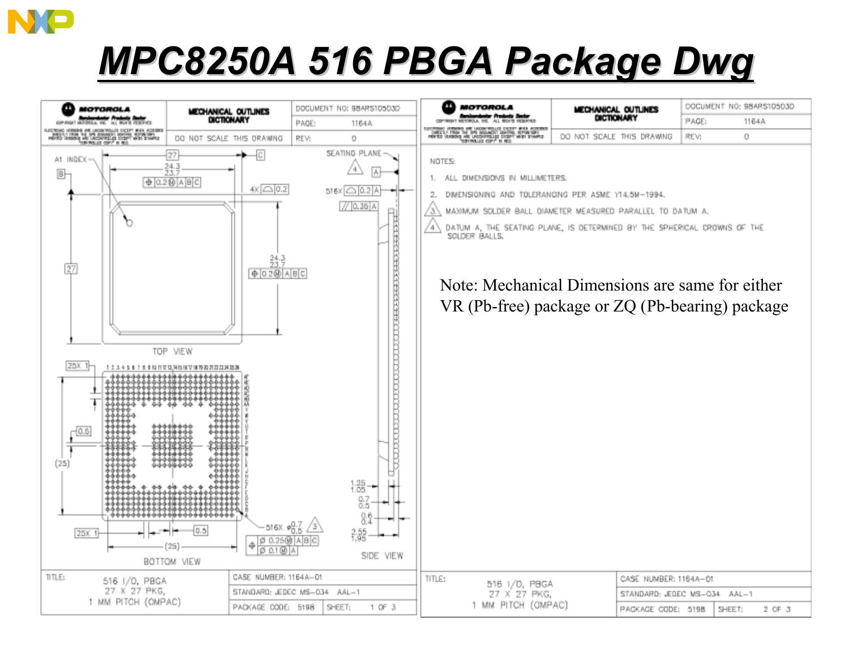

#### *MPC8250A 516 PBGA Package MPC8250A 516 PBGA Package Dwg*

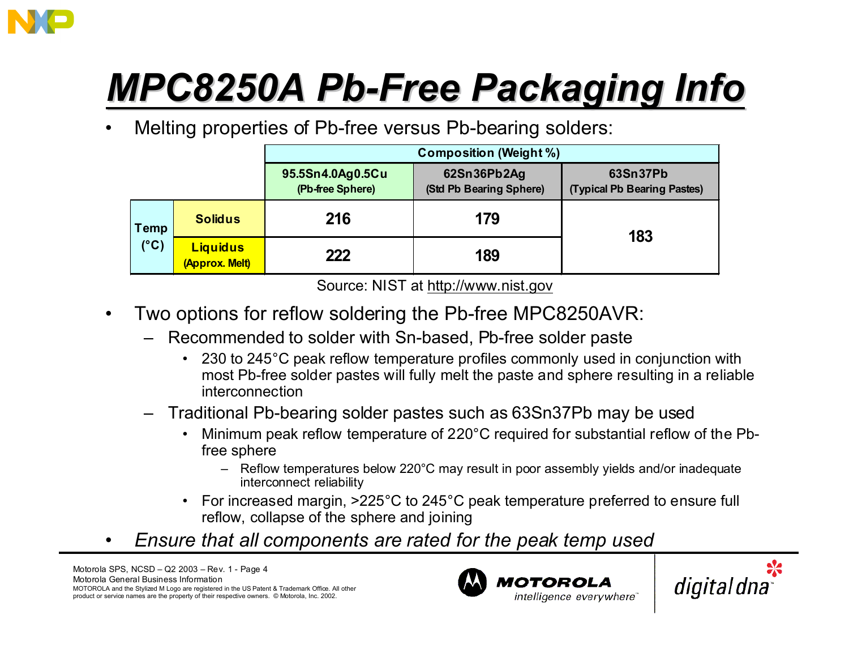

•Melting properties of Pb-free versus Pb-bearing solders:

|                              |                                   | <b>Composition (Weight %)</b>        |                                        |                                         |  |  |
|------------------------------|-----------------------------------|--------------------------------------|----------------------------------------|-----------------------------------------|--|--|
|                              |                                   | 95.5Sn4.0Ag0.5Cu<br>(Pb-free Sphere) | 62Sn36Pb2Ag<br>(Std Pb Bearing Sphere) | 63Sn37Pb<br>(Typical Pb Bearing Pastes) |  |  |
| <b>Temp</b><br>$(^{\circ}C)$ | <b>Solidus</b>                    | 216                                  | 179                                    | 183                                     |  |  |
|                              | <b>Liquidus</b><br>(Approx. Melt) | 222                                  | 189                                    |                                         |  |  |

Source: NIST at http://www.nist.gov

- $\bullet$  Two options for reflow soldering the Pb-free MPC8250AVR:
	- – Recommended to solder with Sn-based, Pb-free solder paste
		- 230 to 245°C peak reflow temperature profiles commonly used in conjunction with most Pb-free solder pastes will fully melt the paste and sphere resulting in a reliable interconnection
	- – Traditional Pb-bearing solder pastes such as 63Sn37Pb may be used
		- • Minimum peak reflow temperature of 220°C required for substantial reflow of the Pbfree sphere
			- Reflow temperatures below 220°C may result in poor assembly yields and/or inadequate interconnect reliability
		- For increased margin, >225°C to 245°C peak temperature preferred to ensure full reflow, collapse of the sphere and joining
- •*Ensure that all components are rated for the peak temp used*



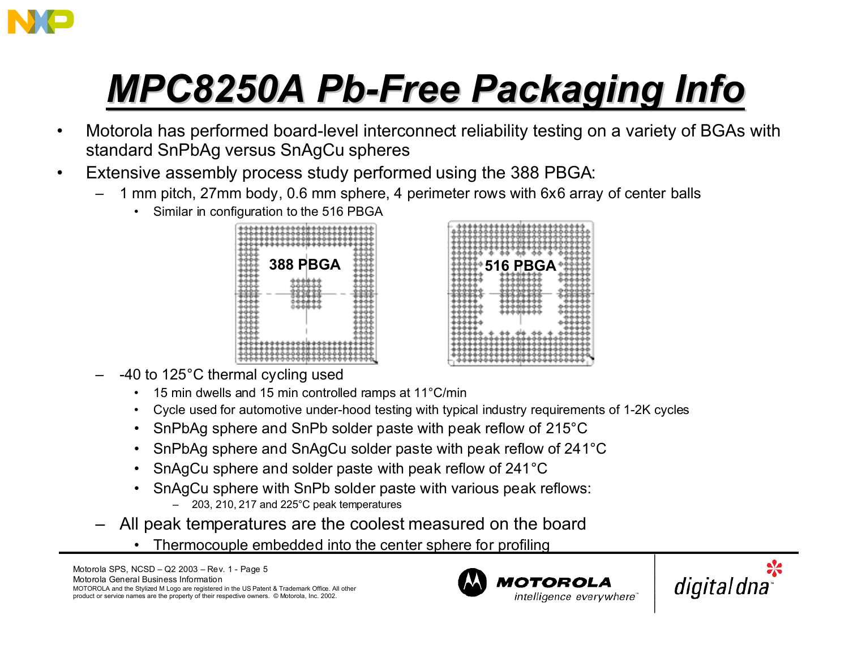

- • Motorola has performed board-level interconnect reliability testing on a variety of BGAs with standard SnPbAg versus SnAgCu spheres
- • Extensive assembly process study performed using the 388 PBGA:
	- 1 mm pitch, 27mm body, 0.6 mm sphere, 4 perimeter rows with 6x6 array of center balls
		- •Similar in configuration to the 516 PBGA





- -40 to 125°C thermal cycling used
	- •15 min dwells and 15 min controlled ramps at 11°C/min
	- •Cycle used for automotive under-hood testing with typical industry requirements of 1-2K cycles
	- $\,$  SnPbAg sphere and SnPb solder paste with peak reflow of 215 $^{\circ}$ C  $\,$
	- •SnPbAg sphere and SnAgCu solder paste with peak reflow of 241°C
	- •SnAgCu sphere and solder paste with peak reflow of 241°C
	- • SnAgCu sphere with SnPb solder paste with various peak reflows:
		- 203, 210, 217 and 225°C peak temperatures
- – All peak temperatures are the coolest measured on the board
	- •Thermocouple embedded into the center sphere for profiling



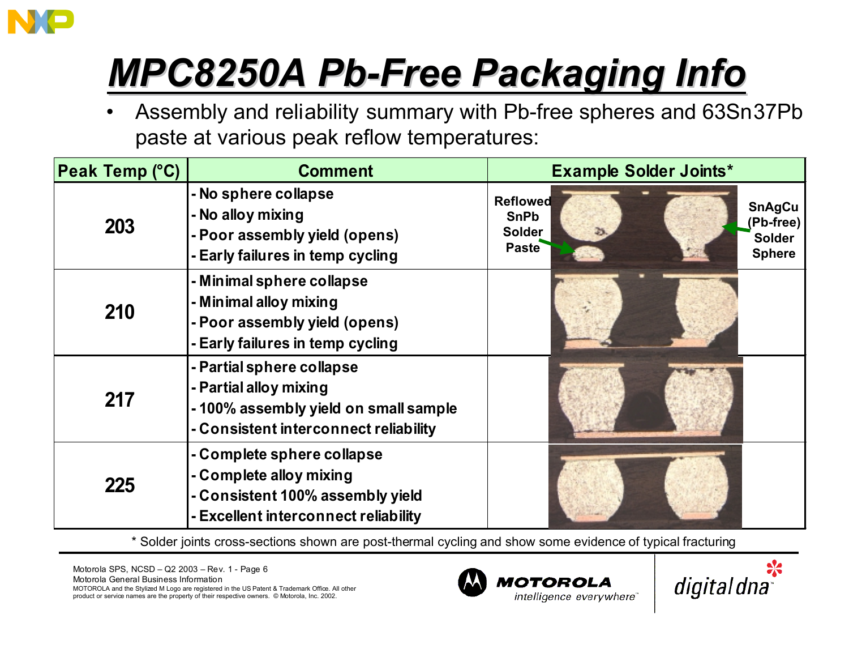

• Assembly and reliability summary with Pb-free spheres and 63Sn37Pb paste at various peak reflow temperatures:

| <b>Peak Temp (°C)</b> | <b>Comment</b>                                                                                                                       | <b>Example Solder Joints*</b>                                   |  |                                                              |  |
|-----------------------|--------------------------------------------------------------------------------------------------------------------------------------|-----------------------------------------------------------------|--|--------------------------------------------------------------|--|
| 203                   | - No sphere collapse<br>- No alloy mixing<br>- Poor assembly yield (opens)<br>- Early failures in temp cycling                       | <b>Reflowed</b><br><b>SnPb</b><br><b>Solder</b><br><b>Paste</b> |  | <b>SnAgCu</b><br>(Pb-free)<br><b>Solder</b><br><b>Sphere</b> |  |
| 210                   | - Minimal sphere collapse<br>- Minimal alloy mixing<br>- Poor assembly yield (opens)<br>- Early failures in temp cycling             |                                                                 |  |                                                              |  |
| 217                   | - Partial sphere collapse<br>- Partial alloy mixing<br>-100% assembly yield on small sample<br>- Consistent interconnect reliability |                                                                 |  |                                                              |  |
| 225                   | - Complete sphere collapse<br>- Complete alloy mixing<br>- Consistent 100% assembly yield<br>- Excellent interconnect reliability    |                                                                 |  |                                                              |  |

\* Solder joints cross-sections shown are post-thermal cycling and show some evidence of typical fracturing



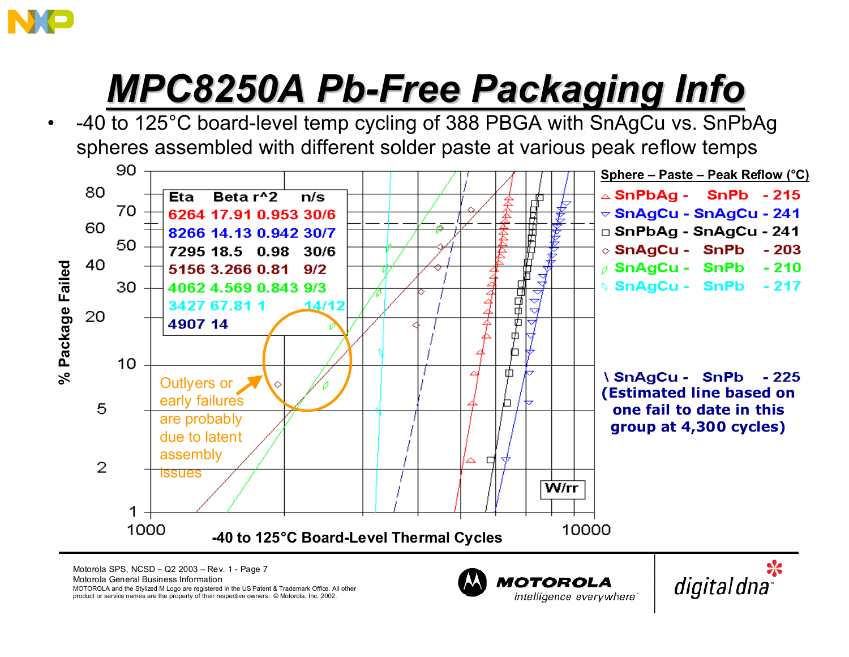